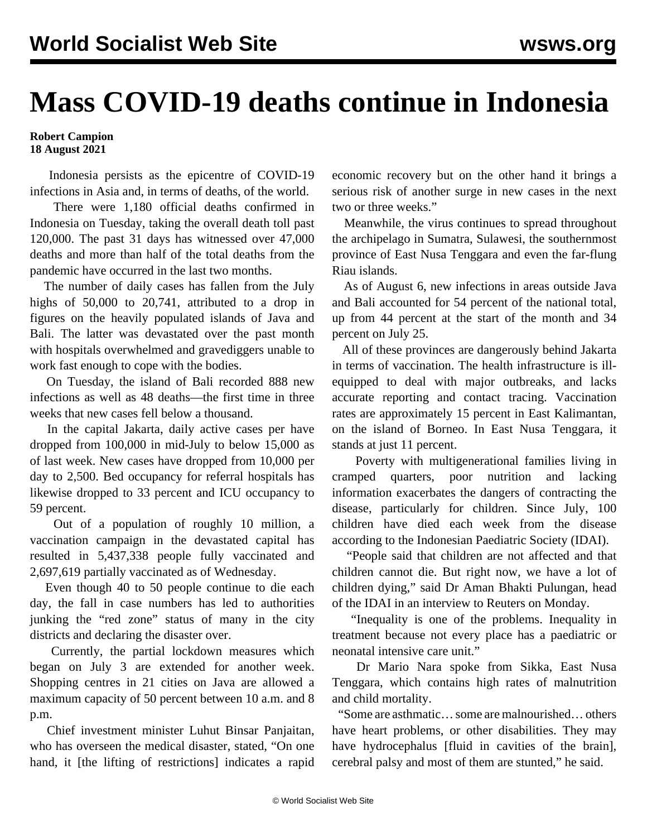## **Mass COVID-19 deaths continue in Indonesia**

## **Robert Campion 18 August 2021**

 Indonesia persists as the epicentre of COVID-19 infections in Asia and, in terms of deaths, of the world.

 There were 1,180 official deaths confirmed in Indonesia on Tuesday, taking the overall death toll past 120,000. The past 31 days has witnessed over 47,000 deaths and more than half of the total deaths from the pandemic have occurred in the last two months.

 The number of daily cases has fallen from the July highs of 50,000 to 20,741, attributed to a drop in figures on the heavily populated islands of Java and Bali. The latter was devastated over the past month with hospitals overwhelmed and gravediggers unable to work fast enough to cope with the bodies.

 On Tuesday, the island of Bali recorded 888 new infections as well as 48 deaths—the first time in three weeks that new cases fell below a thousand.

 In the capital Jakarta, daily active cases per have dropped from 100,000 in mid-July to below 15,000 as of last week. New cases have dropped from 10,000 per day to 2,500. Bed occupancy for referral hospitals has likewise dropped to 33 percent and ICU occupancy to 59 percent.

 Out of a population of roughly 10 million, a vaccination campaign in the devastated capital has resulted in 5,437,338 people fully vaccinated and 2,697,619 partially vaccinated as of Wednesday.

 Even though 40 to 50 people continue to die each day, the fall in case numbers has led to authorities junking the "red zone" status of many in the city districts and declaring the disaster over.

 Currently, the partial lockdown measures which began on July 3 are extended for another week. Shopping centres in 21 cities on Java are allowed a maximum capacity of 50 percent between 10 a.m. and 8 p.m.

 Chief investment minister Luhut Binsar Panjaitan, who has overseen the medical disaster, stated, "On one hand, it [the lifting of restrictions] indicates a rapid economic recovery but on the other hand it brings a serious risk of another surge in new cases in the next two or three weeks."

 Meanwhile, the virus continues to spread throughout the archipelago in Sumatra, Sulawesi, the southernmost province of East Nusa Tenggara and even the far-flung Riau islands.

 As of August 6, new infections in areas outside Java and Bali accounted for 54 percent of the national total, up from 44 percent at the start of the month and 34 percent on July 25.

 All of these provinces are dangerously behind Jakarta in terms of vaccination. The health infrastructure is illequipped to deal with major outbreaks, and lacks accurate reporting and contact tracing. Vaccination rates are approximately 15 percent in East Kalimantan, on the island of Borneo. In East Nusa Tenggara, it stands at just 11 percent.

 Poverty with multigenerational families living in cramped quarters, poor nutrition and lacking information exacerbates the dangers of contracting the disease, particularly for children. Since July, [100](/en/articles/2021/07/29/indo-j29.html) [children have died each week](/en/articles/2021/07/29/indo-j29.html) from the disease according to the Indonesian Paediatric Society (IDAI).

 "People said that children are not affected and that children cannot die. But right now, we have a lot of children dying," said Dr Aman Bhakti Pulungan, head of the IDAI in an interview to Reuters on Monday.

 "Inequality is one of the problems. Inequality in treatment because not every place has a paediatric or neonatal intensive care unit."

 Dr Mario Nara spoke from Sikka, East Nusa Tenggara, which contains high rates of malnutrition and child mortality.

 "Some are asthmatic… some are malnourished… others have heart problems, or other disabilities. They may have hydrocephalus [fluid in cavities of the brain], cerebral palsy and most of them are stunted," he said.